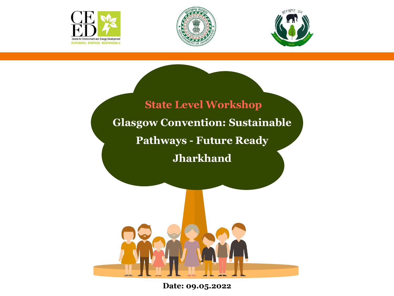





#### **State Level Workshop Glasgow Convention: Sustainable Pathways - Future Ready Jharkhand**



**Date: 09.05.2022**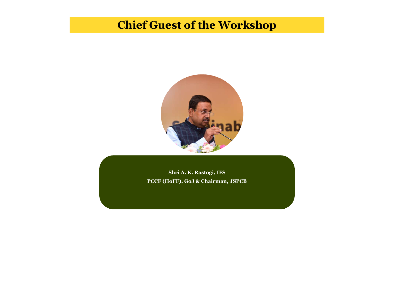#### **Chief Guest of the Workshop**



**Shri A.K. Rastogi, IFS PCCF (HoFF), GoJ & Chairman, JSPCB**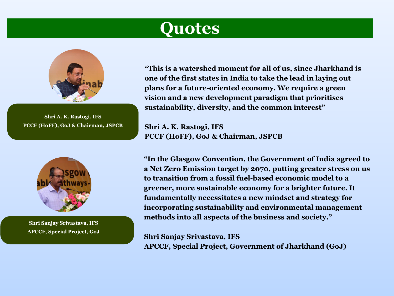#### **Quotes**



**Shri A. K. Rastogi, IFS PCCF (HoFF), GoJ & Chairman, JSPCB**



**Shri A.K. Rastogi Shri Sanjay Srivastava, IFS APCCF, Special Project, GoJ** **"This is a watershed moment for all of us, since Jharkhand is one of the first states in India to take the lead in laying out plans for a future-oriented economy. We require a green vision and a new development paradigm that prioritises sustainability, diversity, and the common interest"**

**Shri A. K. Rastogi, IFS PCCF (HoFF), GoJ & Chairman, JSPCB**

**"In the Glasgow Convention, the Government of India agreed to a Net Zero Emission target by 2070, putting greater stress on us to transition from a fossil fuel-based economic model to a greener, more sustainable economy for a brighter future. It fundamentally necessitates a new mindset and strategy for incorporating sustainability and environmental management methods into all aspects of the business and society."**

**Shri Sanjay Srivastava, IFS APCCF, Special Project, Government of Jharkhand (GoJ)**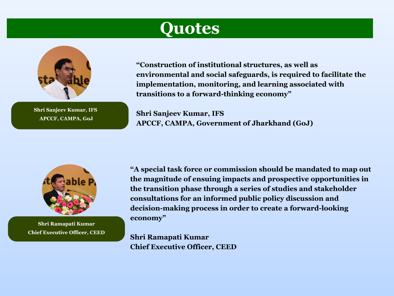#### **Quotes**



**Shri A.K. Shri Sanjeev Kumar, IFS APCCF, CAMPA, GoJ**

**"Construction of institutional structures, as well as environmental and social safeguards, is required to facilitate the implementation, monitoring, and learning associated with transitions to a forward-thinking economy"**

**Shri Sanjeev Kumar, IFS APCCF, CAMPA, Government of Jharkhand (GoJ)**



**Shri A.K. Shri Ramapati Kumar Chief Executive Officer, CEED**

**"A special task force or commission should be mandated to map out the magnitude of ensuing impacts and prospective opportunities in the transition phase through a series of studies and stakeholder consultations for an informed public policy discussion and decision-making process in order to create a forward-looking economy"**

**Shri Ramapati Kumar Chief Executive Officer, CEED**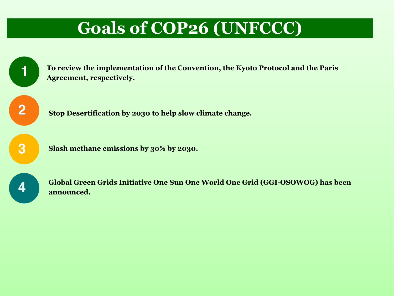#### **Goals of COP26 (UNFCCC)**

| To review the implementation of the Convention, the Kyoto Protocol and the Paris<br>Agreement, respectively.              |
|---------------------------------------------------------------------------------------------------------------------------|
| Stop Desertification by 2030 to help slow climate change.                                                                 |
| Slash methane emissions by 30% by 2030.                                                                                   |
| <b>Global Green Grids Initiative One Sun One World One Grid (GGI-OSOWOG) has bee</b><br>$\alpha$ as $\alpha$ and $\alpha$ |

**Global Green Grids Initiative One Sun One World One Grid (GGI-OSOWOG) has been announced.**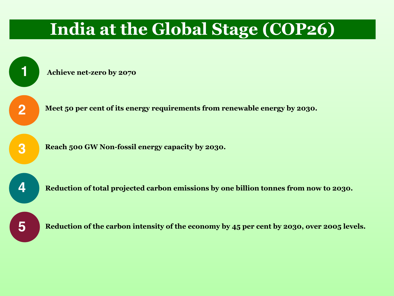#### **India at the Global Stage (COP26)**

**Achieve net-zero by 2070**



**1**

**Meet 50 per cent of its energy requirements from renewable energy by 2030.**

**3**

**Reach 500 GW Non-fossil energy capacity by 2030.** 

**4**

**Reduction of total projected carbon emissions by one billion tonnes from now to 2030.**



**Reduction of the carbon intensity of the economy by 45 per cent by 2030, over 2005 levels.**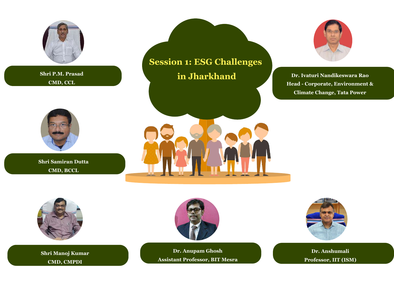



**CMD, CMPDI**



**Dr. Anupam Ghosh Assistant Professor, BIT Mesra CMD CMPDI CMD CMPDI Shri Assistant Professor, BIT Mesra** 



**Shri A.K. Rastogi Dr. Anshumali Professor, IIT (ISM)**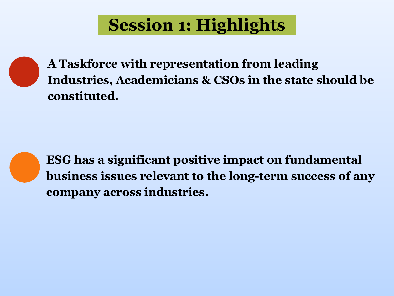# **Session 1: Highlights**



**A Taskforce with representation from leading Industries, Academicians & CSOs in the state should be constituted.**



**ESG has a significant positive impact on fundamental business issues relevant to the long-term success of any company across industries.**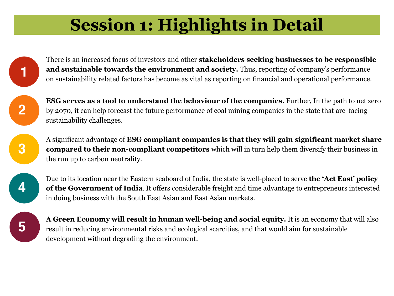# **Session 1: Highlights in Detail**



**2**

There is an increased focus of investors and other **stakeholders seeking businesses to be responsible and sustainable towards the environment and society.** Thus, reporting of company's performance on sustainability related factors has become as vital as reporting on financial and operational performance.

**ESG serves as a tool to understand the behaviour of the companies.** Further, In the path to net zero by 2070, it can help forecast the future performance of coal mining companies in the state that are facing sustainability challenges.

**3**

A significant advantage of **ESG compliant companies is that they will gain significant market share compared to their non-compliant competitors** which will in turn help them diversify their business in the run up to carbon neutrality.



Due to its location near the Eastern seaboard of India, the state is well-placed to serve **the 'Act East' policy of the Government of India**. It offers considerable freight and time advantage to entrepreneurs interested in doing business with the South East Asian and East Asian markets.



**A Green Economy will result in human well-being and social equity.** It is an economy that will also result in reducing environmental risks and ecological scarcities, and that would aim for sustainable development without degrading the environment.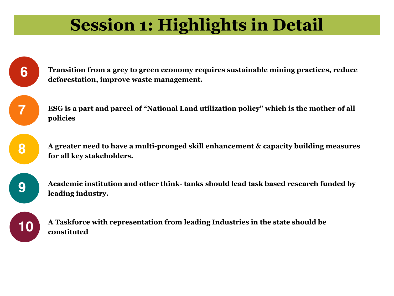## **Session 1: Highlights in Detail**

**Transition from a grey to green economy requires sustainable mining practices, reduce deforestation, improve waste management.**

**ESG is a part and parcel of "National Land utilization policy" which is the mother of all policies**

**A greater need to have a multi-pronged skill enhancement & capacity building measures for all key stakeholders.**

**9**

**6**

**7**

**8**

**Academic institution and other think- tanks should lead task based research funded by leading industry.**



**A Taskforce with representation from leading Industries in the state should be constituted**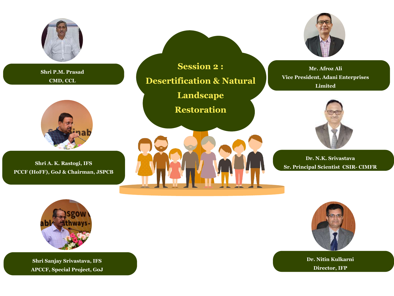

**Shri P.M. Prasad CMD, CCL**



 $Shri A. K. Rastogi, IFS$ **PCCF (HoFF), GoJ & Chairman, JSPCB**

**Session 2 : Desertification & Natural Landscape Restoration**





**Mr. Afroz Ali Vice President, Adani Enterprises Limited**



**Shri A.K. Rastogi Dr. N.K. Srivastava Sr. Principal Scientist CSIR- CIMFR**



**Shri A.K. Rastogi Shri Sanjay Srivastava, IFS APCCF, Special Project, GoJ**



**Shri A.K. Rastogi Dr. Nitin Kulkarni Director, IFP**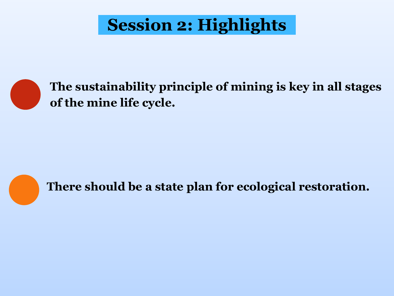# **Session 2: Highlights**



**The sustainability principle of mining is key in all stages of the mine life cycle.**



**There should be a state plan for ecological restoration.**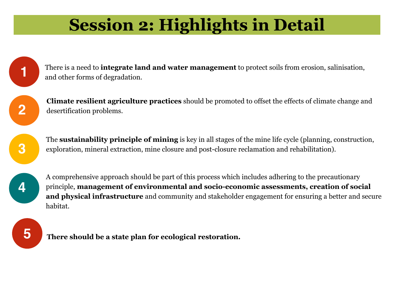# **Session 2: Highlights in Detail**

There is a need to **integrate land and water management** to protect soils from erosion, salinisation, and other forms of degradation.

**Climate resilient agriculture practices** should be promoted to offset the effects of climate change and desertification problems.



**2**

**1**

The **sustainability principle of mining** is key in all stages of the mine life cycle (planning, construction, exploration, mineral extraction, mine closure and post-closure reclamation and rehabilitation).

**4**

A comprehensive approach should be part of this process which includes adhering to the precautionary principle, **management of environmental and socio-economic assessments, creation of social and physical infrastructure** and community and stakeholder engagement for ensuring a better and secure habitat.



**5 There should be a state plan for ecological restoration.**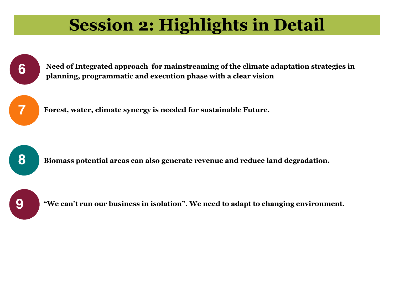#### **Session 2: Highlights in Detail**



 **Need of Integrated approach for mainstreaming of the climate adaptation strategies in planning, programmatic and execution phase with a clear vision**



**Forest, water, climate synergy is needed for sustainable Future.**



**Biomass potential areas can also generate revenue and reduce land degradation.**



**"We can't run our business in isolation". We need to adapt to changing environment.**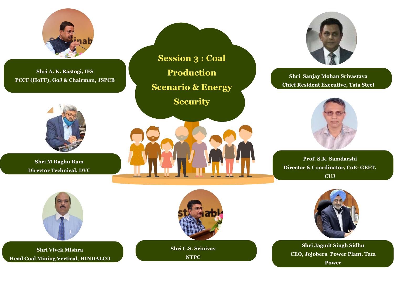



**Shri Vivek Mishra Head Coal Mining Vertical, HINDALCO** **Shri C.S. Srinivas** 

**NTPC**



 $\overline{\textbf{Shri J}}$ agmit Singh Sidhu **CEO, Jojobera Power Plant, Tata Power**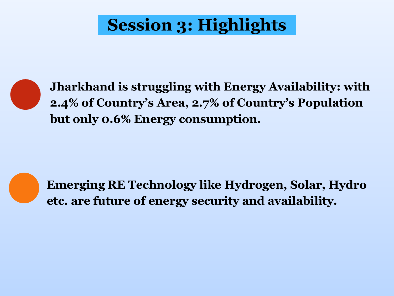# **Session 3: Highlights**



**Jharkhand is struggling with Energy Availability: with 2.4% of Country's Area, 2.7% of Country's Population but only 0.6% Energy consumption.** 



**Emerging RE Technology like Hydrogen, Solar, Hydro etc. are future of energy security and availability.**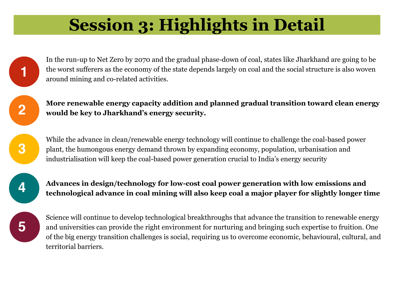# **Session 3: Highlights in Detail**

In the run-up to Net Zero by 2070 and the gradual phase-down of coal, states like Jharkhand are going to be the worst sufferers as the economy of the state depends largely on coal and the social structure is also woven around mining and co-related activities.

**More renewable energy capacity addition and planned gradual transition toward clean energy would be key to Jharkhand's energy security.**

While the advance in clean/renewable energy technology will continue to challenge the coal-based power plant, the humongous energy demand thrown by expanding economy, population, urbanisation and industrialisation will keep the coal-based power generation crucial to India's energy security



**1**

**2**

**3**

**Advances in design/technology for low-cost coal power generation with low emissions and technological advance in coal mining will also keep coal a major player for slightly longer time**



Science will continue to develop technological breakthroughs that advance the transition to renewable energy and universities can provide the right environment for nurturing and bringing such expertise to fruition. One of the big energy transition challenges is social, requiring us to overcome economic, behavioural, cultural, and territorial barriers.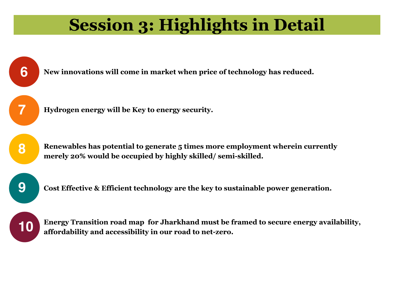## **Session 3: Highlights in Detail**





**10 Energy Transition road map for Jharkhand must be framed to secure energy availability,**<br>**10 effordshility and accessibility in our road to not zoro affordability and accessibility in our road to net-zero.**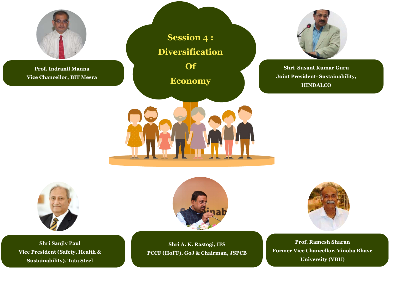

**Shri Sanjiv Paul Vice President (Safety, Health & Sustainability), Tata Steel**



**Shri A. K. Rastogi, IFS PCCF (HoFF), GoJ & Chairman, JSPCB**



**Prof. Ramesh Sharan Former Vice Chancellor, Vinoba Bhave University (VBU)**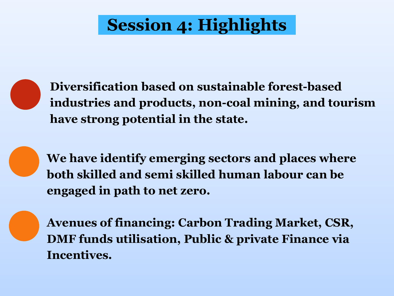# **Session 4: Highlights**



**Diversification based on sustainable forest-based industries and products, non-coal mining, and tourism have strong potential in the state.**



**We have identify emerging sectors and places where both skilled and semi skilled human labour can be engaged in path to net zero.**



**Avenues of financing: Carbon Trading Market, CSR, DMF funds utilisation, Public & private Finance via Incentives.**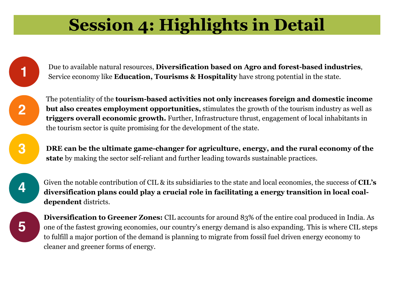## **Session 4: Highlights in Detail**

Due to available natural resources, **Diversification based on Agro and forest-based industries**, Service economy like **Education, Tourisms & Hospitality** have strong potential in the state.

The potentiality of the **tourism-based activities not only increases foreign and domestic income but also creates employment opportunities,** stimulates the growth of the tourism industry as well as **triggers overall economic growth.** Further, Infrastructure thrust, engagement of local inhabitants in the tourism sector is quite promising for the development of the state.

**DRE can be the ultimate game-changer for agriculture, energy, and the rural economy of the state** by making the sector self-reliant and further leading towards sustainable practices.

**4**

**5**

**1**

**2**

**3**

Given the notable contribution of CIL & its subsidiaries to the state and local economies, the success of **CIL's diversification plans could play a crucial role in facilitating a energy transition in local coaldependent** districts.

**Diversification to Greener Zones:** CIL accounts for around 83% of the entire coal produced in India. As one of the fastest growing economies, our country's energy demand is also expanding. This is where CIL steps to fulfill a major portion of the demand is planning to migrate from fossil fuel driven energy economy to cleaner and greener forms of energy.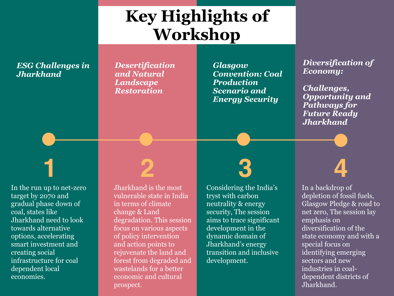#### **Key Highlights of Workshop**

#### *ESG Challenges in Jharkhand*

*Desertification and Natural Landscape Restoration*

*Glasgow Convention: Coal Production Scenario and Energy Security*

#### *Diversification of Economy:*

*Challenges, Opportunity and Pathways for Future Ready Jharkhand*

In the run up to net-zero target by 2070 and gradual phase down of coal, states like Jharkhand need to look towards alternative options, accelerating smart investment and creating social infrastructure for coal dependent local economies.

Visit<http://bestpowerpointtemplates.com> for more free powerpoint resources! prospect. Jharkhand is the most vulnerable state in India in terms of climate change & Land degradation. This session focus on various aspects of policy intervention and action points to rejuvenate the land and forest from degraded and wastelands for a better economic and cultural

# **1 2 3 4**

Considering the India's tryst with carbon neutrality & energy security, The session aims to trace significant development in the dynamic domain of Jharkhand's energy transition and inclusive development.

#### In a backdrop of depletion of fossil fuels, Glasgow Pledge & road to net zero, The session lay emphasis on diversification of the state economy and with a special focus on identifying emerging sectors and new industries in coaldependent districts of Jharkhand.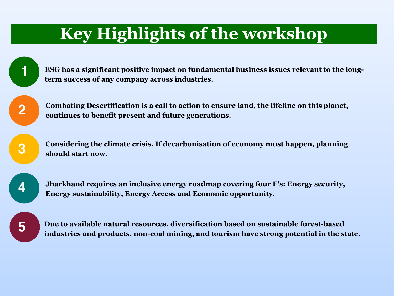#### **Key Highlights of the workshop**

**ESG has a significant positive impact on fundamental business issues relevant to the longterm success of any company across industries.**

**Combating Desertification is a call to action to ensure land, the lifeline on this planet, continues to benefit present and future generations.** 

**Considering the climate crisis, If decarbonisation of economy must happen, planning should start now.**



**1**

**2**

**3**

**Jharkhand requires an inclusive energy roadmap covering four E's: Energy security, Energy sustainability, Energy Access and Economic opportunity.**



**Due to available natural resources, diversification based on sustainable forest-based industries and products, non-coal mining, and tourism have strong potential in the state.**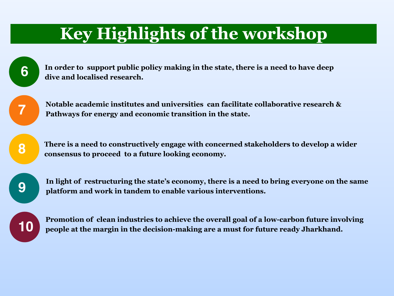#### **Key Highlights of the workshop**

**In order to support public policy making in the state, there is a need to have deep dive and localised research.**

**Notable academic institutes and universities can facilitate collaborative research & Pathways for energy and economic transition in the state.**

**There is a need to constructively engage with concerned stakeholders to develop a wider consensus to proceed to a future looking economy.**



**6**

**7**

**8**

**In light of restructuring the state's economy, there is a need to bring everyone on the same platform and work in tandem to enable various interventions.**



**Promotion of clean industries to achieve the overall goal of a low-carbon future involving people at the margin in the decision-making are a must for future ready Jharkhand.**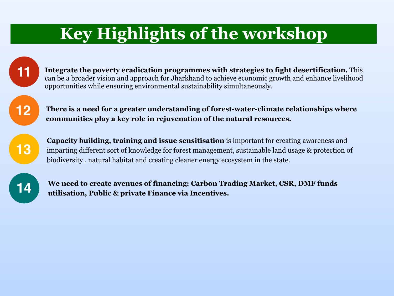#### **Key Highlights of the workshop**



**12**

**Integrate the poverty eradication programmes with strategies to fight desertification.** This can be a broader vision and approach for Jharkhand to achieve economic growth and enhance livelihood opportunities while ensuring environmental sustainability simultaneously.

**There is a need for a greater understanding of forest-water-climate relationships where communities play a key role in rejuvenation of the natural resources.**



**Capacity building, training and issue sensitisation** is important for creating awareness and imparting different sort of knowledge for forest management, sustainable land usage & protection of biodiversity , natural habitat and creating cleaner energy ecosystem in the state.



**We need to create avenues of financing: Carbon Trading Market, CSR, DMF funds utilisation, Public & private Finance via Incentives.**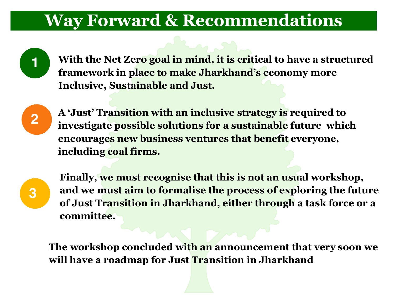#### **Way Forward & Recommendations**

**1 With the Net Zero goal in mind, it is critical to have a structured framework in place to make Jharkhand's economy more Inclusive, Sustainable and Just.**



**2 A 'Just' Transition with an inclusive strategy is required to investigate possible solutions for a sustainable future which encourages new business ventures that benefit everyone, including coal firms.**



**Finally, we must recognise that this is not an usual workshop, and we must aim to formalise the process of exploring the future of Just Transition in Jharkhand, either through a task force or a committee.**

**The workshop concluded with an announcement that very soon we will have a roadmap for Just Transition in Jharkhand**